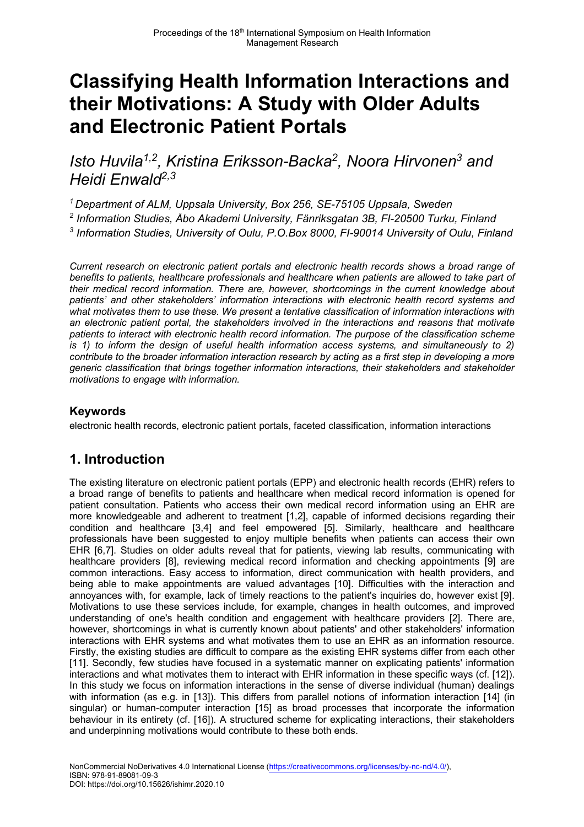# **Classifying Health Information Interactions and their Motivations: A Study with Older Adults and Electronic Patient Portals**

*Isto Huvila1,2, Kristina Eriksson-Backa<sup>2</sup> , Noora Hirvonen<sup>3</sup> and Heidi Enwald2,3*

*<sup>1</sup>Department of ALM, Uppsala University, Box 256, SE-75105 Uppsala, Sweden*

*2 Information Studies, Åbo Akademi University, Fänriksgatan 3B, FI-20500 Turku, Finland 3 Information Studies, University of Oulu, P.O.Box 8000, FI-90014 University of Oulu, Finland* 

*Current research on electronic patient portals and electronic health records shows a broad range of benefits to patients, healthcare professionals and healthcare when patients are allowed to take part of their medical record information. There are, however, shortcomings in the current knowledge about patients' and other stakeholders' information interactions with electronic health record systems and what motivates them to use these. We present a tentative classification of information interactions with an electronic patient portal, the stakeholders involved in the interactions and reasons that motivate patients to interact with electronic health record information. The purpose of the classification scheme is 1) to inform the design of useful health information access systems, and simultaneously to 2) contribute to the broader information interaction research by acting as a first step in developing a more generic classification that brings together information interactions, their stakeholders and stakeholder motivations to engage with information.* 

#### **Keywords**

electronic health records, electronic patient portals, faceted classification, information interactions

## **1. Introduction**

The existing literature on electronic patient portals (EPP) and electronic health records (EHR) refers to a broad range of benefits to patients and healthcare when medical record information is opened for patient consultation. Patients who access their own medical record information using an EHR are more knowledgeable and adherent to treatment [1,2], capable of informed decisions regarding their condition and healthcare [3,4] and feel empowered [5]. Similarly, healthcare and healthcare professionals have been suggested to enjoy multiple benefits when patients can access their own EHR [6,7]. Studies on older adults reveal that for patients, viewing lab results, communicating with healthcare providers [8], reviewing medical record information and checking appointments [9] are common interactions. Easy access to information, direct communication with health providers, and being able to make appointments are valued advantages [10]. Difficulties with the interaction and annoyances with, for example, lack of timely reactions to the patient's inquiries do, however exist [9]. Motivations to use these services include, for example, changes in health outcomes, and improved understanding of one's health condition and engagement with healthcare providers [2]. There are, however, shortcomings in what is currently known about patients' and other stakeholders' information interactions with EHR systems and what motivates them to use an EHR as an information resource. Firstly, the existing studies are difficult to compare as the existing EHR systems differ from each other [11]. Secondly, few studies have focused in a systematic manner on explicating patients' information interactions and what motivates them to interact with EHR information in these specific ways (cf. [12]). In this study we focus on information interactions in the sense of diverse individual (human) dealings with information (as e.g. in [13]). This differs from parallel notions of information interaction [14] (in singular) or human-computer interaction [15] as broad processes that incorporate the information behaviour in its entirety (cf. [16]). A structured scheme for explicating interactions, their stakeholders and underpinning motivations would contribute to these both ends.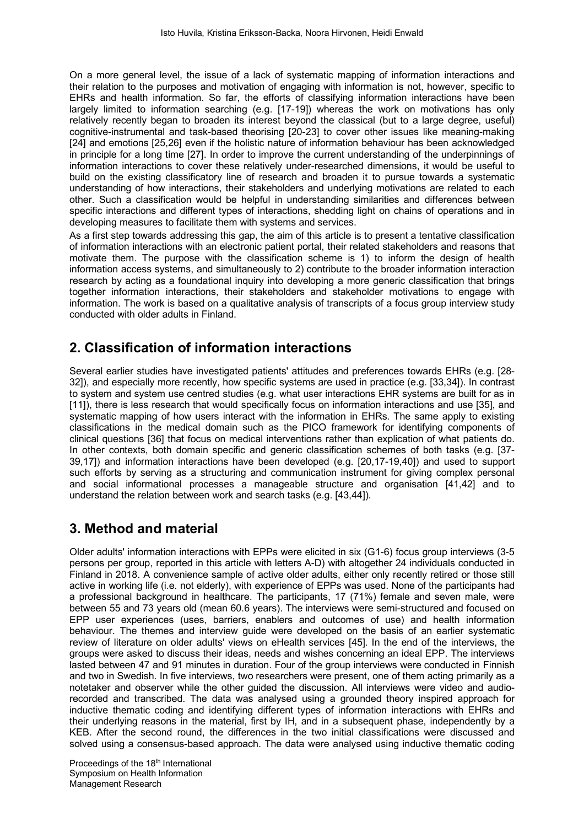On a more general level, the issue of a lack of systematic mapping of information interactions and their relation to the purposes and motivation of engaging with information is not, however, specific to EHRs and health information. So far, the efforts of classifying information interactions have been largely limited to information searching (e.g. [17-19]) whereas the work on motivations has only relatively recently began to broaden its interest beyond the classical (but to a large degree, useful) cognitive-instrumental and task-based theorising [20-23] to cover other issues like meaning-making [24] and emotions [25,26] even if the holistic nature of information behaviour has been acknowledged in principle for a long time [27]. In order to improve the current understanding of the underpinnings of information interactions to cover these relatively under-researched dimensions, it would be useful to build on the existing classificatory line of research and broaden it to pursue towards a systematic understanding of how interactions, their stakeholders and underlying motivations are related to each other. Such a classification would be helpful in understanding similarities and differences between specific interactions and different types of interactions, shedding light on chains of operations and in developing measures to facilitate them with systems and services.

As a first step towards addressing this gap, the aim of this article is to present a tentative classification of information interactions with an electronic patient portal, their related stakeholders and reasons that motivate them. The purpose with the classification scheme is 1) to inform the design of health information access systems, and simultaneously to 2) contribute to the broader information interaction research by acting as a foundational inquiry into developing a more generic classification that brings together information interactions, their stakeholders and stakeholder motivations to engage with information. The work is based on a qualitative analysis of transcripts of a focus group interview study conducted with older adults in Finland.

## **2. Classification of information interactions**

Several earlier studies have investigated patients' attitudes and preferences towards EHRs (e.g. [28- 32]), and especially more recently, how specific systems are used in practice (e.g. [33,34]). In contrast to system and system use centred studies (e.g. what user interactions EHR systems are built for as in [11]), there is less research that would specifically focus on information interactions and use [35], and systematic mapping of how users interact with the information in EHRs. The same apply to existing classifications in the medical domain such as the PICO framework for identifying components of clinical questions [36] that focus on medical interventions rather than explication of what patients do. In other contexts, both domain specific and generic classification schemes of both tasks (e.g. [37- 39,17]) and information interactions have been developed (e.g. [20,17-19,40]) and used to support such efforts by serving as a structuring and communication instrument for giving complex personal and social informational processes a manageable structure and organisation [41,42] and to understand the relation between work and search tasks (e.g. [43,44]).

#### **3. Method and material**

Older adults' information interactions with EPPs were elicited in six (G1-6) focus group interviews (3-5 persons per group, reported in this article with letters A-D) with altogether 24 individuals conducted in Finland in 2018. A convenience sample of active older adults, either only recently retired or those still active in working life (i.e. not elderly), with experience of EPPs was used. None of the participants had a professional background in healthcare. The participants, 17 (71%) female and seven male, were between 55 and 73 years old (mean 60.6 years). The interviews were semi-structured and focused on EPP user experiences (uses, barriers, enablers and outcomes of use) and health information behaviour. The themes and interview guide were developed on the basis of an earlier systematic review of literature on older adults' views on eHealth services [45]. In the end of the interviews, the groups were asked to discuss their ideas, needs and wishes concerning an ideal EPP. The interviews lasted between 47 and 91 minutes in duration. Four of the group interviews were conducted in Finnish and two in Swedish. In five interviews, two researchers were present, one of them acting primarily as a notetaker and observer while the other guided the discussion. All interviews were video and audiorecorded and transcribed. The data was analysed using a grounded theory inspired approach for inductive thematic coding and identifying different types of information interactions with EHRs and their underlying reasons in the material, first by IH, and in a subsequent phase, independently by a KEB. After the second round, the differences in the two initial classifications were discussed and solved using a consensus-based approach. The data were analysed using inductive thematic coding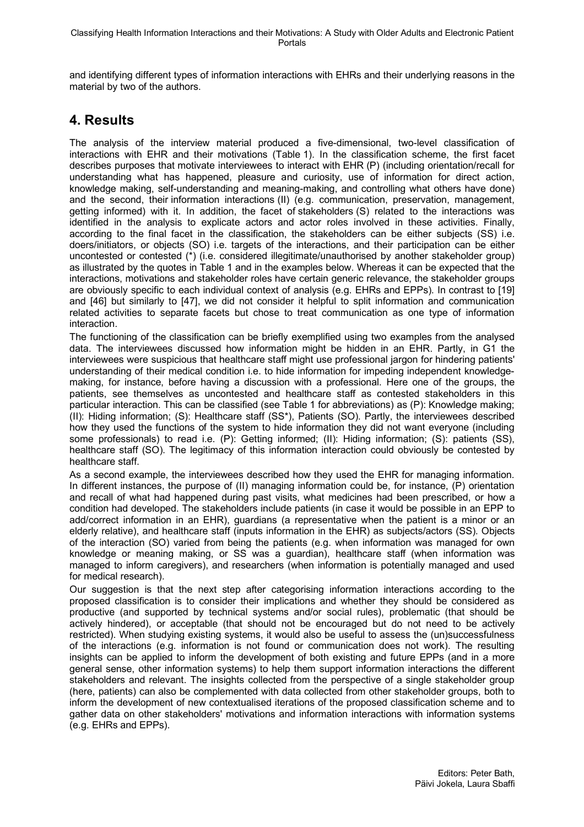and identifying different types of information interactions with EHRs and their underlying reasons in the material by two of the authors.

## **4. Results**

The analysis of the interview material produced a five-dimensional, two-level classification of interactions with EHR and their motivations (Table 1). In the classification scheme, the first facet describes purposes that motivate interviewees to interact with EHR (P) (including orientation/recall for understanding what has happened, pleasure and curiosity, use of information for direct action, knowledge making, self-understanding and meaning-making, and controlling what others have done) and the second, their information interactions (II) (e.g. communication, preservation, management, getting informed) with it. In addition, the facet of stakeholders (S) related to the interactions was identified in the analysis to explicate actors and actor roles involved in these activities. Finally, according to the final facet in the classification, the stakeholders can be either subjects (SS) i.e. doers/initiators, or objects (SO) i.e. targets of the interactions, and their participation can be either uncontested or contested (\*) (i.e. considered illegitimate/unauthorised by another stakeholder group) as illustrated by the quotes in Table 1 and in the examples below. Whereas it can be expected that the interactions, motivations and stakeholder roles have certain generic relevance, the stakeholder groups are obviously specific to each individual context of analysis (e.g. EHRs and EPPs). In contrast to [19] and [46] but similarly to [47], we did not consider it helpful to split information and communication related activities to separate facets but chose to treat communication as one type of information interaction.

The functioning of the classification can be briefly exemplified using two examples from the analysed data. The interviewees discussed how information might be hidden in an EHR. Partly, in G1 the interviewees were suspicious that healthcare staff might use professional jargon for hindering patients' understanding of their medical condition i.e. to hide information for impeding independent knowledgemaking, for instance, before having a discussion with a professional. Here one of the groups, the patients, see themselves as uncontested and healthcare staff as contested stakeholders in this particular interaction. This can be classified (see Table 1 for abbreviations) as (P): Knowledge making; (II): Hiding information; (S): Healthcare staff (SS\*), Patients (SO). Partly, the interviewees described how they used the functions of the system to hide information they did not want everyone (including some professionals) to read i.e. (P): Getting informed; (II): Hiding information; (S): patients (SS), healthcare staff (SO). The legitimacy of this information interaction could obviously be contested by healthcare staff.

As a second example, the interviewees described how they used the EHR for managing information. In different instances, the purpose of (II) managing information could be, for instance, (P) orientation and recall of what had happened during past visits, what medicines had been prescribed, or how a condition had developed. The stakeholders include patients (in case it would be possible in an EPP to add/correct information in an EHR), guardians (a representative when the patient is a minor or an elderly relative), and healthcare staff (inputs information in the EHR) as subjects/actors (SS). Objects of the interaction (SO) varied from being the patients (e.g. when information was managed for own knowledge or meaning making, or SS was a guardian), healthcare staff (when information was managed to inform caregivers), and researchers (when information is potentially managed and used for medical research).

Our suggestion is that the next step after categorising information interactions according to the proposed classification is to consider their implications and whether they should be considered as productive (and supported by technical systems and/or social rules), problematic (that should be actively hindered), or acceptable (that should not be encouraged but do not need to be actively restricted). When studying existing systems, it would also be useful to assess the (un)successfulness of the interactions (e.g. information is not found or communication does not work). The resulting insights can be applied to inform the development of both existing and future EPPs (and in a more general sense, other information systems) to help them support information interactions the different stakeholders and relevant. The insights collected from the perspective of a single stakeholder group (here, patients) can also be complemented with data collected from other stakeholder groups, both to inform the development of new contextualised iterations of the proposed classification scheme and to gather data on other stakeholders' motivations and information interactions with information systems (e.g. EHRs and EPPs).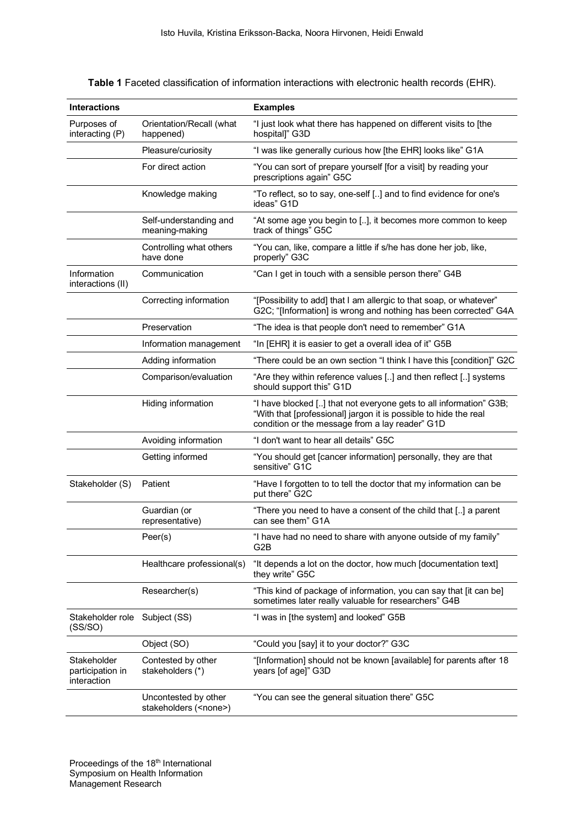**Table 1** Faceted classification of information interactions with electronic health records (EHR).

| <b>Interactions</b>                            |                                                       | <b>Examples</b>                                                                                                                                                                           |
|------------------------------------------------|-------------------------------------------------------|-------------------------------------------------------------------------------------------------------------------------------------------------------------------------------------------|
| Purposes of<br>interacting (P)                 | Orientation/Recall (what<br>happened)                 | "I just look what there has happened on different visits to [the<br>hospital]" G3D                                                                                                        |
|                                                | Pleasure/curiosity                                    | "I was like generally curious how [the EHR] looks like" G1A                                                                                                                               |
|                                                | For direct action                                     | "You can sort of prepare yourself [for a visit] by reading your<br>prescriptions again" G5C                                                                                               |
|                                                | Knowledge making                                      | "To reflect, so to say, one-self [] and to find evidence for one's<br>ideas" G1D                                                                                                          |
|                                                | Self-understanding and<br>meaning-making              | "At some age you begin to [], it becomes more common to keep<br>track of things" G5C                                                                                                      |
|                                                | Controlling what others<br>have done                  | "You can, like, compare a little if s/he has done her job, like,<br>properly" G3C                                                                                                         |
| Information<br>interactions (II)               | Communication                                         | "Can I get in touch with a sensible person there" G4B                                                                                                                                     |
|                                                | Correcting information                                | "[Possibility to add] that I am allergic to that soap, or whatever"<br>G2C; "[Information] is wrong and nothing has been corrected" G4A                                                   |
|                                                | Preservation                                          | "The idea is that people don't need to remember" G1A                                                                                                                                      |
|                                                | Information management                                | "In [EHR] it is easier to get a overall idea of it" G5B                                                                                                                                   |
|                                                | Adding information                                    | "There could be an own section "I think I have this [condition]" G2C                                                                                                                      |
|                                                | Comparison/evaluation                                 | "Are they within reference values [] and then reflect [] systems<br>should support this" G1D                                                                                              |
|                                                | Hiding information                                    | "I have blocked [] that not everyone gets to all information" G3B;<br>"With that [professional] jargon it is possible to hide the real<br>condition or the message from a lay reader" G1D |
|                                                | Avoiding information                                  | "I don't want to hear all details" G5C                                                                                                                                                    |
|                                                | Getting informed                                      | "You should get [cancer information] personally, they are that<br>sensitive" G1C                                                                                                          |
| Stakeholder (S)                                | Patient                                               | "Have I forgotten to to tell the doctor that my information can be<br>put there" G2C                                                                                                      |
|                                                | Guardian (or<br>representative)                       | "There you need to have a consent of the child that [] a parent<br>can see them" G1A                                                                                                      |
|                                                | Peer(s)                                               | "I have had no need to share with anyone outside of my family"<br>G2B                                                                                                                     |
|                                                | Healthcare professional(s)                            | "It depends a lot on the doctor, how much [documentation text]<br>they write" G5C                                                                                                         |
|                                                | Researcher(s)                                         | "This kind of package of information, you can say that [it can be]<br>sometimes later really valuable for researchers" G4B                                                                |
| Stakeholder role<br>(SS/SO)                    | Subject (SS)                                          | "I was in [the system] and looked" G5B                                                                                                                                                    |
|                                                | Object (SO)                                           | "Could you [say] it to your doctor?" G3C                                                                                                                                                  |
| Stakeholder<br>participation in<br>interaction | Contested by other<br>stakeholders (*)                | "[Information] should not be known [available] for parents after 18<br>years [of age]" G3D                                                                                                |
|                                                | Uncontested by other<br>stakeholders ( <none>)</none> | "You can see the general situation there" G5C                                                                                                                                             |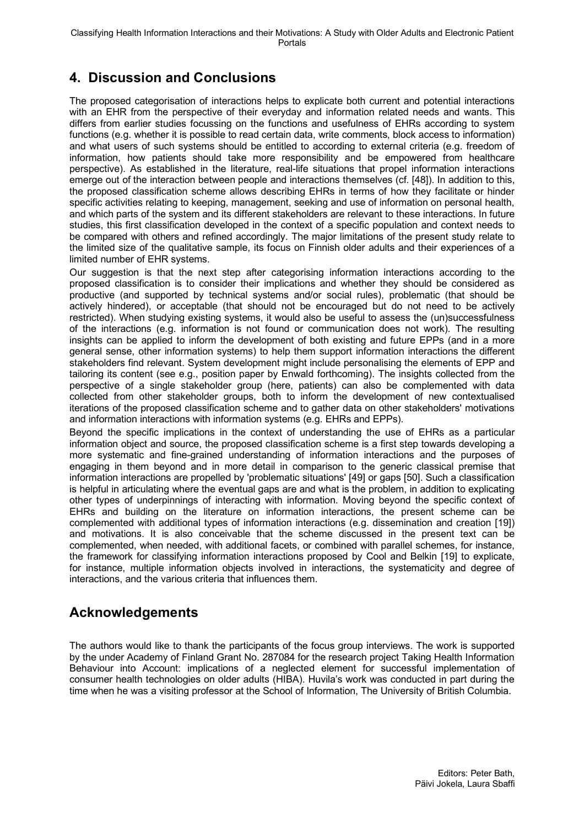# **4. Discussion and Conclusions**

The proposed categorisation of interactions helps to explicate both current and potential interactions with an EHR from the perspective of their everyday and information related needs and wants. This differs from earlier studies focussing on the functions and usefulness of EHRs according to system functions (e.g. whether it is possible to read certain data, write comments, block access to information) and what users of such systems should be entitled to according to external criteria (e.g. freedom of information, how patients should take more responsibility and be empowered from healthcare perspective). As established in the literature, real-life situations that propel information interactions emerge out of the interaction between people and interactions themselves (cf. [48]). In addition to this, the proposed classification scheme allows describing EHRs in terms of how they facilitate or hinder specific activities relating to keeping, management, seeking and use of information on personal health, and which parts of the system and its different stakeholders are relevant to these interactions. In future studies, this first classification developed in the context of a specific population and context needs to be compared with others and refined accordingly. The major limitations of the present study relate to the limited size of the qualitative sample, its focus on Finnish older adults and their experiences of a limited number of EHR systems.

Our suggestion is that the next step after categorising information interactions according to the proposed classification is to consider their implications and whether they should be considered as productive (and supported by technical systems and/or social rules), problematic (that should be actively hindered), or acceptable (that should not be encouraged but do not need to be actively restricted). When studying existing systems, it would also be useful to assess the (un)successfulness of the interactions (e.g. information is not found or communication does not work). The resulting insights can be applied to inform the development of both existing and future EPPs (and in a more general sense, other information systems) to help them support information interactions the different stakeholders find relevant. System development might include personalising the elements of EPP and tailoring its content (see e.g., position paper by Enwald forthcoming). The insights collected from the perspective of a single stakeholder group (here, patients) can also be complemented with data collected from other stakeholder groups, both to inform the development of new contextualised iterations of the proposed classification scheme and to gather data on other stakeholders' motivations and information interactions with information systems (e.g. EHRs and EPPs).

Beyond the specific implications in the context of understanding the use of EHRs as a particular information object and source, the proposed classification scheme is a first step towards developing a more systematic and fine-grained understanding of information interactions and the purposes of engaging in them beyond and in more detail in comparison to the generic classical premise that information interactions are propelled by 'problematic situations' [49] or gaps [50]. Such a classification is helpful in articulating where the eventual gaps are and what is the problem, in addition to explicating other types of underpinnings of interacting with information. Moving beyond the specific context of EHRs and building on the literature on information interactions, the present scheme can be complemented with additional types of information interactions (e.g. dissemination and creation [19]) and motivations. It is also conceivable that the scheme discussed in the present text can be complemented, when needed, with additional facets, or combined with parallel schemes, for instance, the framework for classifying information interactions proposed by Cool and Belkin [19] to explicate, for instance, multiple information objects involved in interactions, the systematicity and degree of interactions, and the various criteria that influences them.

## **Acknowledgements**

The authors would like to thank the participants of the focus group interviews. The work is supported by the under Academy of Finland Grant No. 287084 for the research project Taking Health Information Behaviour into Account: implications of a neglected element for successful implementation of consumer health technologies on older adults (HIBA). Huvila's work was conducted in part during the time when he was a visiting professor at the School of Information, The University of British Columbia.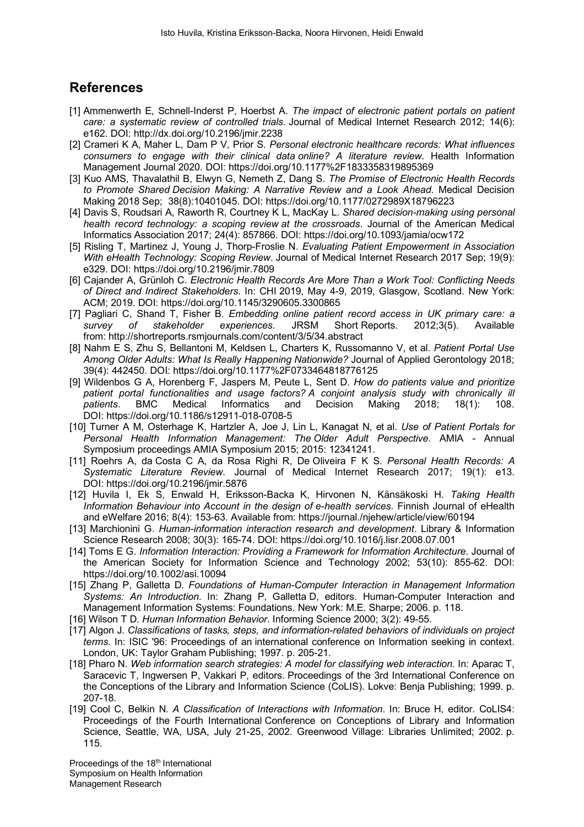#### **References**

- [1] Ammenwerth E, Schnell-Inderst P, Hoerbst A. *The impact of electronic patient portals on patient care: a systematic review of controlled trials*. Journal of Medical Internet Research 2012; 14(6): e162. DOI: http://dx.doi.org/10.2196/jmir.2238
- [2] Crameri K A, Maher L, Dam P V, Prior S. *Personal electronic healthcare records: What influences consumers to engage with their clinical data online? A literature review*. Health Information Management Journal 2020. DOI: https://doi.org/10.1177%2F1833358319895369
- [3] Kuo AMS, Thavalathil B, Elwyn G, Nemeth Z, Dang S. *The Promise of Electronic Health Records to Promote Shared Decision Making: A Narrative Review and a Look Ahead*. Medical Decision Making 2018 Sep; 38(8):10401045. DOI: https://doi.org/10.1177/0272989X18796223
- [4] Davis S, Roudsari A, Raworth R, Courtney K L, MacKay L. *Shared decision-making using personal health record technology: a scoping review at the crossroads*. Journal of the American Medical Informatics Association 2017; 24(4): 857866. DOI: https://doi.org/10.1093/jamia/ocw172
- [5] Risling T, Martinez J, Young J, Thorp-Froslie N. *Evaluating Patient Empowerment in Association With eHealth Technology: Scoping Review*. Journal of Medical Internet Research 2017 Sep; 19(9): e329. DOI: https://doi.org/10.2196/jmir.7809
- [6] Cajander A, Grünloh C. *Electronic Health Records Are More Than a Work Tool: Conflicting Needs of Direct and Indirect Stakeholders*. In: CHI 2019, May 4-9, 2019, Glasgow, Scotland. New York: ACM; 2019. DOI: https://doi.org/10.1145/3290605.3300865
- [7] Pagliari C, Shand T, Fisher B. *Embedding online patient record access in UK primary care: a survey of stakeholder experiences*. JRSM Short Reports. 2012;3(5). Available from: http://shortreports.rsmjournals.com/content/3/5/34.abstract
- [8] Nahm E S, Zhu S, Bellantoni M, Keldsen L, Charters K, Russomanno V, et al. *Patient Portal Use Among Older Adults: What Is Really Happening Nationwide?* Journal of Applied Gerontology 2018; 39(4): 442450. DOI: https://doi.org/10.1177%2F0733464818776125
- [9] Wildenbos G A, Horenberg F, Jaspers M, Peute L, Sent D. *How do patients value and prioritize patient portal functionalities and usage factors? A conjoint analysis study with chronically ill patients*. BMC Medical Informatics and Decision Making 2018; 18(1): 108. DOI: https://doi.org/10.1186/s12911-018-0708-5
- [10] Turner A M, Osterhage K, Hartzler A, Joe J, Lin L, Kanagat N, et al. *Use of Patient Portals for Personal Health Information Management: The Older Adult Perspective*. AMIA - Annual Symposium proceedings AMIA Symposium 2015; 2015: 12341241.
- [11] Roehrs A, da Costa C A, da Rosa Righi R, De Oliveira F K S. *Personal Health Records: A Systematic Literature Review*. Journal of Medical Internet Research 2017; 19(1): e13. DOI: https://doi.org/10.2196/jmir.5876
- [12] Huvila I, Ek S, Enwald H, Eriksson-Backa K, Hirvonen N, Känsäkoski H. *Taking Health Information Behaviour into Account in the design of e-health services*. Finnish Journal of eHealth and eWelfare 2016; 8(4): 153-63. Available from: https://journal./njehew/article/view/60194
- [13] Marchionini G. *Human-information interaction research and development*. Library & Information Science Research 2008; 30(3): 165-74. DOI: https://doi.org/10.1016/j.lisr.2008.07.001
- [14] Toms E G. *Information Interaction: Providing a Framework for Information Architecture*. Journal of the American Society for Information Science and Technology 2002; 53(10): 855-62. DOI: https://doi.org/10.1002/asi.10094
- [15] Zhang P, Galletta D. *Foundations of Human-Computer Interaction in Management Information Systems: An Introduction*. In: Zhang P, Galletta D, editors. Human-Computer Interaction and Management Information Systems: Foundations. New York: M.E. Sharpe; 2006. p. 118.
- [16] Wilson T D. *Human Information Behavior*. Informing Science 2000; 3(2): 49-55.
- [17] Algon J. *Classifications of tasks, steps, and information-related behaviors of individuals on project terms*. In: ISIC '96: Proceedings of an international conference on Information seeking in context. London, UK: Taylor Graham Publishing; 1997. p. 205-21.
- [18] Pharo N. *Web information search strategies: A model for classifying web interaction*. In: Aparac T, Saracevic T, Ingwersen P, Vakkari P, editors. Proceedings of the 3rd International Conference on the Conceptions of the Library and Information Science (CoLIS). Lokve: Benja Publishing; 1999. p. 207-18.
- [19] Cool C, Belkin N. *A Classification of Interactions with Information*. In: Bruce H, editor. CoLIS4: Proceedings of the Fourth International Conference on Conceptions of Library and Information Science, Seattle, WA, USA, July 21-25, 2002. Greenwood Village: Libraries Unlimited; 2002. p. 115.

Proceedings of the 18<sup>th</sup> International Symposium on Health Information Management Research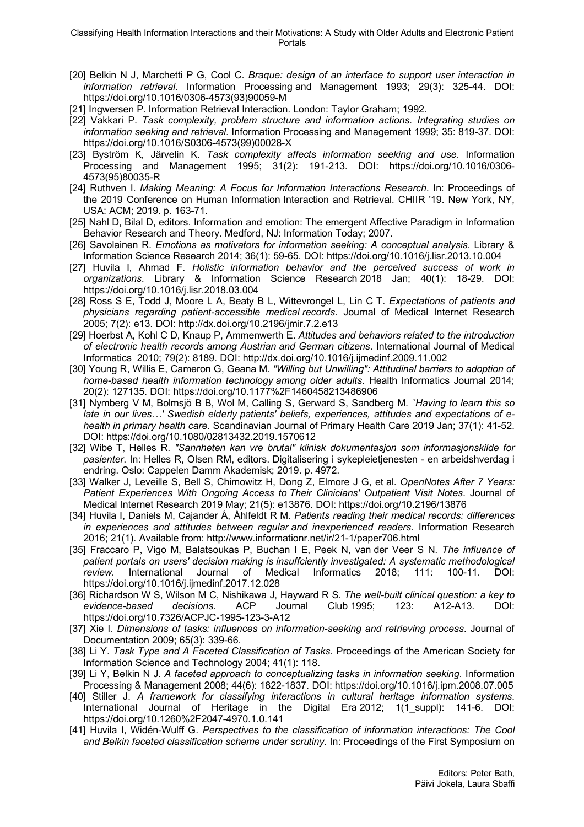- [20] Belkin N J, Marchetti P G, Cool C. *Braque: design of an interface to support user interaction in information retrieval*. Information Processing and Management 1993; 29(3): 325-44. DOI: https://doi.org/10.1016/0306-4573(93)90059-M
- [21] Ingwersen P. Information Retrieval Interaction. London: Taylor Graham; 1992.
- [22] Vakkari P. *Task complexity, problem structure and information actions. Integrating studies on information seeking and retrieval*. Information Processing and Management 1999; 35: 819-37. DOI: https://doi.org/10.1016/S0306-4573(99)00028-X
- [23] Byström K, Järvelin K. *Task complexity affects information seeking and use*. Information Processing and Management 1995; 31(2): 191-213. DOI: https://doi.org/10.1016/0306- 4573(95)80035-R
- [24] Ruthven I. *Making Meaning: A Focus for Information Interactions Research*. In: Proceedings of the 2019 Conference on Human Information Interaction and Retrieval. CHIIR '19. New York, NY, USA: ACM; 2019. p. 163-71.
- [25] Nahl D, Bilal D, editors. Information and emotion: The emergent Affective Paradigm in Information Behavior Research and Theory. Medford, NJ: Information Today; 2007.
- [26] Savolainen R. *Emotions as motivators for information seeking: A conceptual analysis*. Library & Information Science Research 2014; 36(1): 59-65. DOI: https://doi.org/10.1016/j.lisr.2013.10.004
- [27] Huvila I, Ahmad F. *Holistic information behavior and the perceived success of work in organizations*. Library & Information Science Research 2018 Jan; 40(1): 18-29. DOI: https://doi.org/10.1016/j.lisr.2018.03.004
- [28] Ross S E, Todd J, Moore L A, Beaty B L, Wittevrongel L, Lin C T. *Expectations of patients and physicians regarding patient-accessible medical records*. Journal of Medical Internet Research 2005; 7(2): e13. DOI: http://dx.doi.org/10.2196/jmir.7.2.e13
- [29] Hoerbst A, Kohl C D, Knaup P, Ammenwerth E. *Attitudes and behaviors related to the introduction of electronic health records among Austrian and German citizens*. International Journal of Medical Informatics 2010; 79(2): 8189. DOI: http://dx.doi.org/10.1016/j.ijmedinf.2009.11.002
- [30] Young R, Willis E, Cameron G, Geana M. *"Willing but Unwilling": Attitudinal barriers to adoption of home-based health information technology among older adults*. Health Informatics Journal 2014; 20(2): 127135. DOI: https://doi.org/10.1177%2F1460458213486906
- [31] Nymberg V M, Bolmsjö B B, Wol M, Calling S, Gerward S, Sandberg M. *`Having to learn this so late in our lives…' Swedish elderly patients' beliefs, experiences, attitudes and expectations of ehealth in primary health care*. Scandinavian Journal of Primary Health Care 2019 Jan; 37(1): 41-52. DOI: https://doi.org/10.1080/02813432.2019.1570612
- [32] Wibe T, Helles R. *"Sannheten kan vre brutal" klinisk dokumentasjon som informasjonskilde for pasienter*. In: Helles R, Olsen RM, editors. Digitalisering i sykepleietjenesten - en arbeidshverdag i endring. Oslo: Cappelen Damm Akademisk; 2019. p. 4972.
- [33] Walker J, Leveille S, Bell S, Chimowitz H, Dong Z, Elmore J G, et al. *OpenNotes After 7 Years: Patient Experiences With Ongoing Access to Their Clinicians' Outpatient Visit Notes*. Journal of Medical Internet Research 2019 May; 21(5): e13876. DOI: https://doi.org/10.2196/13876
- [34] Huvila I, Daniels M, Cajander Å, Åhlfeldt R M. *Patients reading their medical records: differences in experiences and attitudes between regular and inexperienced readers*. Information Research 2016; 21(1). Available from: http://www.informationr.net/ir/21-1/paper706.html
- [35] Fraccaro P, Vigo M, Balatsoukas P, Buchan I E, Peek N, van der Veer S N. *The influence of patient portals on users' decision making is insuffciently investigated: A systematic methodological review*. International Journal of Medical Informatics 2018; 111: 100-11. DOI: https://doi.org/10.1016/j.ijmedinf.2017.12.028
- [36] Richardson W S, Wilson M C, Nishikawa J, Hayward R S. *The well-built clinical question: a key to evidence-based decisions*. ACP Journal Club 1995; 123: A12-A13. DOI: https://doi.org/10.7326/ACPJC-1995-123-3-A12
- [37] Xie I. *Dimensions of tasks: influences on information-seeking and retrieving process*. Journal of Documentation 2009; 65(3): 339-66.
- [38] Li Y. *Task Type and A Faceted Classification of Tasks*. Proceedings of the American Society for Information Science and Technology 2004; 41(1): 118.
- [39] Li Y, Belkin N J. *A faceted approach to conceptualizing tasks in information seeking*. Information Processing & Management 2008; 44(6): 1822-1837. DOI: https://doi.org/10.1016/j.ipm.2008.07.005
- [40] Stiller J. *A framework for classifying interactions in cultural heritage information systems*. International Journal of Heritage in the Digital Era 2012; 1(1\_suppl): 141-6. DOI: https://doi.org/10.1260%2F2047-4970.1.0.141
- [41] Huvila I, Widén-Wulff G. *Perspectives to the classification of information interactions: The Cool and Belkin faceted classification scheme under scrutiny*. In: Proceedings of the First Symposium on